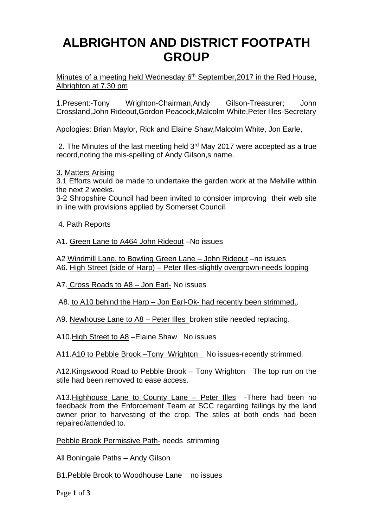# **ALBRIGHTON AND DISTRICT FOOTPATH GROUP**

Minutes of a meeting held Wednesday  $6<sup>th</sup>$  September, 2017 in the Red House, Albrighton at 7.30 pm

1.Present:-Tony Wrighton-Chairman,Andy Gilson-Treasurer; John Crossland,John Rideout,Gordon Peacock,Malcolm White,Peter Illes-Secretary

Apologies: Brian Maylor, Rick and Elaine Shaw,Malcolm White, Jon Earle,

 2. The Minutes of the last meeting held 3rd May 2017 were accepted as a true record,noting the mis-spelling of Andy Gilson,s name.

3. Matters Arising

3.1 Efforts would be made to undertake the garden work at the Melville within the next 2 weeks.

3-2 Shropshire Council had been invited to consider improving their web site in line with provisions applied by Somerset Council.

4. Path Reports

A1. Green Lane to A464 John Rideout –No issues

A2 Windmill Lane. to Bowling Green Lane – John Rideout –no issues A6. High Street (side of Harp) – Peter Illes-slightly overgrown-needs lopping

A7. Cross Roads to A8 – Jon Earl- No issues

A8. to A10 behind the Harp – Jon Earl-Ok- had recently been strimmed..

A9. Newhouse Lane to A8 – Peter Illes broken stile needed replacing.

A10.High Street to A8 –Elaine Shaw No issues

A11.A10 to Pebble Brook - Tony Wrighton No issues-recently strimmed.

A12.Kingswood Road to Pebble Brook – Tony Wrighton The top run on the stile had been removed to ease access.

A13. Highhouse Lane to County Lane - Peter Illes - There had been no feedback from the Enforcement Team at SCC regarding failings by the land owner prior to harvesting of the crop. The stiles at both ends had been repaired/attended to.

Pebble Brook Permissive Path- needs strimming

All Boningale Paths – Andy Gilson

B1.Pebble Brook to Woodhouse Lane no issues

Page **1** of **3**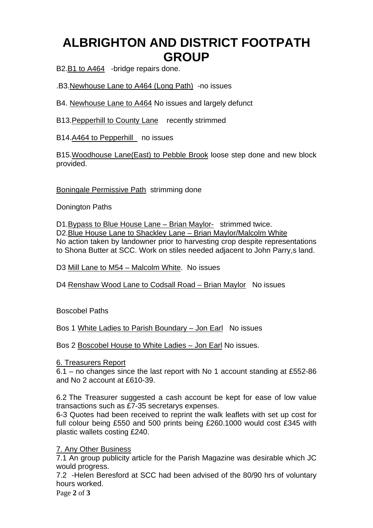# **ALBRIGHTON AND DISTRICT FOOTPATH GROUP**

B2.B1 to A464 -bridge repairs done.

.B3.Newhouse Lane to A464 (Long Path) -no issues

B4. Newhouse Lane to A464 No issues and largely defunct

B13.Pepperhill to County Lane recently strimmed

B14.A464 to Pepperhill no issues

B15.Woodhouse Lane(East) to Pebble Brook loose step done and new block provided.

Boningale Permissive Path strimming done

Donington Paths

D1.Bypass to Blue House Lane – Brian Maylor- strimmed twice. D2.Blue House Lane to Shackley Lane – Brian Maylor/Malcolm White No action taken by landowner prior to harvesting crop despite representations to Shona Butter at SCC. Work on stiles needed adjacent to John Parry,s land.

D3 Mill Lane to M54 – Malcolm White. No issues

D4 Renshaw Wood Lane to Codsall Road – Brian Maylor No issues

Boscobel Paths

Bos 1 White Ladies to Parish Boundary – Jon Earl No issues

Bos 2 Boscobel House to White Ladies – Jon Earl No issues.

#### 6. Treasurers Report

6.1 – no changes since the last report with No 1 account standing at £552-86 and No 2 account at £610-39.

6.2 The Treasurer suggested a cash account be kept for ease of low value transactions such as £7-35 secretarys expenses.

6-3 Quotes had been received to reprint the walk leaflets with set up cost for full colour being £550 and 500 prints being £260.1000 would cost £345 with plastic wallets costing £240.

### 7. Any Other Business

7.1 An group publicity article for the Parish Magazine was desirable which JC would progress.

7.2 -Helen Beresford at SCC had been advised of the 80/90 hrs of voluntary hours worked.

Page **2** of **3**